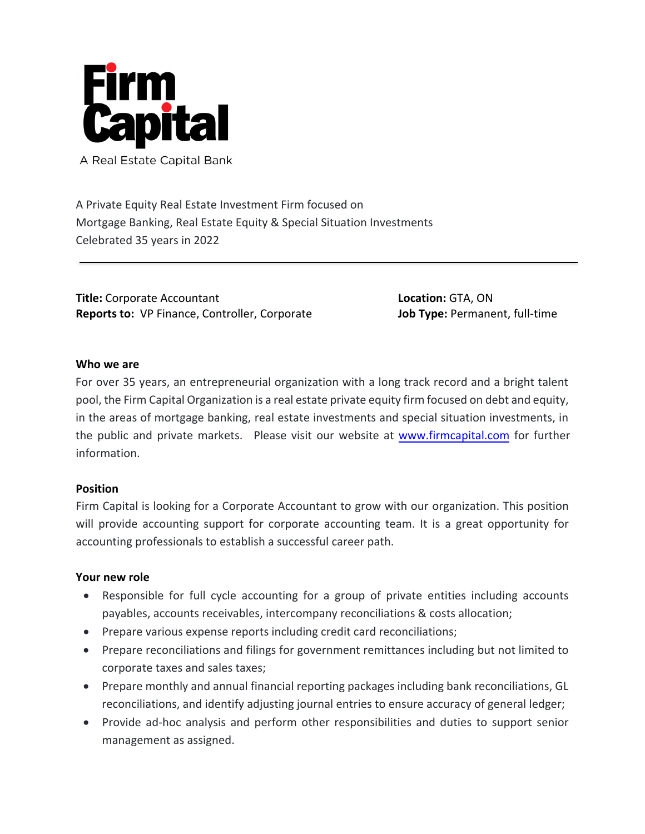

A Real Estate Capital Bank

A Private Equity Real Estate Investment Firm focused on Mortgage Banking, Real Estate Equity & Special Situation Investments Celebrated 35 years in 2022

**Title:** Corporate Accountant **Reports to:** VP Finance, Controller, Corporate **Location:** GTA, ON **Job Type:** Permanent, full‐time

## **Who we are**

For over 35 years, an entrepreneurial organization with a long track record and a bright talent pool, the Firm Capital Organization is a real estate private equity firm focused on debt and equity, in the areas of mortgage banking, real estate investments and special situation investments, in the public and private markets. Please visit our website at www.firmcapital.com for further information.

### **Position**

Firm Capital is looking for a Corporate Accountant to grow with our organization. This position will provide accounting support for corporate accounting team. It is a great opportunity for accounting professionals to establish a successful career path.

### **Your new role**

- Responsible for full cycle accounting for a group of private entities including accounts payables, accounts receivables, intercompany reconciliations & costs allocation;
- Prepare various expense reports including credit card reconciliations;
- Prepare reconciliations and filings for government remittances including but not limited to corporate taxes and sales taxes;
- Prepare monthly and annual financial reporting packages including bank reconciliations, GL reconciliations, and identify adjusting journal entries to ensure accuracy of general ledger;
- Provide ad‐hoc analysis and perform other responsibilities and duties to support senior management as assigned.